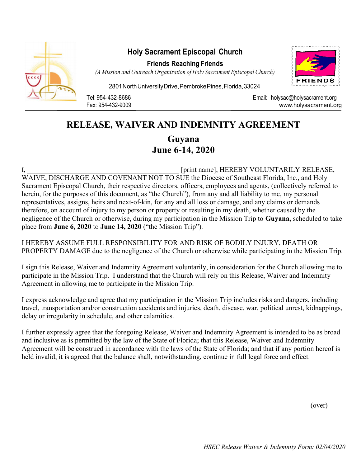

## Holy Sacrament Episcopal Church

Friends Reaching Friends



(A Mission and Outreach Organization of Holy Sacrament Episcopal Church)

2801 North University Drive, Pembroke Pines, Florida, 33024

Tel: 954-432-8686 Email: holysac@holysacrament.org Fax: 954-432-9009 www.holysacrament.org

## RELEASE, WAIVER AND INDEMNITY AGREEMENT

Guyana June 6-14, 2020

I, The contract of the set of the set of the set of print name], HEREBY VOLUNTARILY RELEASE, WAIVE, DISCHARGE AND COVENANT NOT TO SUE the Diocese of Southeast Florida, Inc., and Holy Sacrament Episcopal Church, their respective directors, officers, employees and agents, (collectively referred to herein, for the purposes of this document, as "the Church"), from any and all liability to me, my personal representatives, assigns, heirs and next-of-kin, for any and all loss or damage, and any claims or demands therefore, on account of injury to my person or property or resulting in my death, whether caused by the negligence of the Church or otherwise, during my participation in the Mission Trip to Guyana, scheduled to take place from June 6, 2020 to June 14, 2020 ("the Mission Trip").

I HEREBY ASSUME FULL RESPONSIBILITY FOR AND RISK OF BODILY INJURY, DEATH OR PROPERTY DAMAGE due to the negligence of the Church or otherwise while participating in the Mission Trip.

I sign this Release, Waiver and Indemnity Agreement voluntarily, in consideration for the Church allowing me to participate in the Mission Trip. I understand that the Church will rely on this Release, Waiver and Indemnity Agreement in allowing me to participate in the Mission Trip.

I express acknowledge and agree that my participation in the Mission Trip includes risks and dangers, including travel, transportation and/or construction accidents and injuries, death, disease, war, political unrest, kidnappings, delay or irregularity in schedule, and other calamities.

I further expressly agree that the foregoing Release, Waiver and Indemnity Agreement is intended to be as broad and inclusive as is permitted by the law of the State of Florida; that this Release, Waiver and Indemnity Agreement will be construed in accordance with the laws of the State of Florida; and that if any portion hereof is held invalid, it is agreed that the balance shall, notwithstanding, continue in full legal force and effect.

(over)